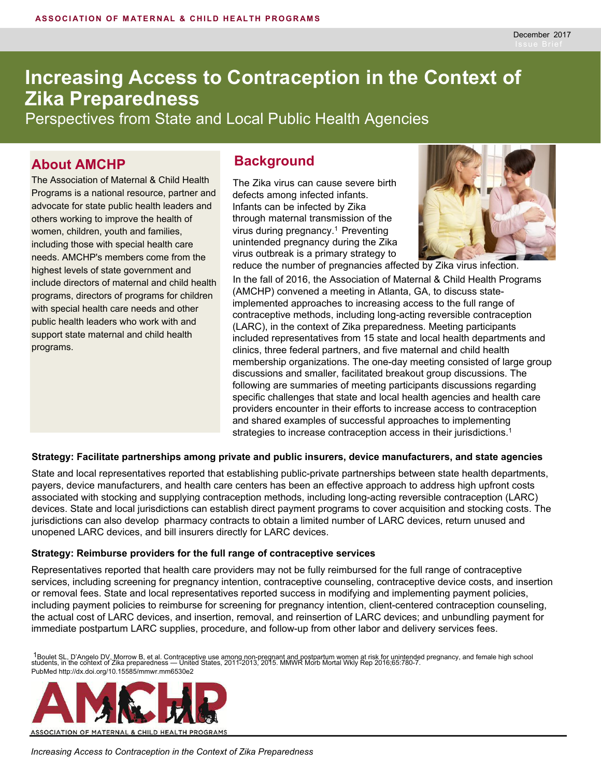# **Increasing Access to Contraception in the Context of Zika Preparedness**

Perspectives from State and Local Public Health Agencies

## **About AMCHP Background**

The Association of Maternal & Child Health Programs is a national resource, partner and advocate for state public health leaders and others working to improve the health of women, children, youth and families, including those with special health care needs. AMCHP's members come from the highest levels of state government and include directors of maternal and child health programs, directors of programs for children with special health care needs and other public health leaders who work with and support state maternal and child health programs.

The Zika virus can cause severe birth defects among infected infants. Infants can be infected by Zika through maternal transmission of the virus during pregnancy.<sup>1</sup> Preventing unintended pregnancy during the Zika virus outbreak is a primary strategy to



In the fall of 2016, the Association of Maternal & Child Health Programs (AMCHP) convened a meeting in Atlanta, GA, to discuss stateimplemented approaches to increasing access to the full range of contraceptive methods, including long-acting reversible contraception (LARC), in the context of Zika preparedness. Meeting participants included representatives from 15 state and local health departments and clinics, three federal partners, and five maternal and child health membership organizations. The one-day meeting consisted of large group discussions and smaller, facilitated breakout group discussions. The following are summaries of meeting participants discussions regarding specific challenges that state and local health agencies and health care providers encounter in their efforts to increase access to contraception and shared examples of successful approaches to implementing strategies to increase contraception access in their jurisdictions.<sup>1</sup>

#### **Strategy: Facilitate partnerships among private and public insurers, device manufacturers, and state agencies**

State and local representatives reported that establishing public-private partnerships between state health departments, payers, device manufacturers, and health care centers has been an effective approach to address high upfront costs associated with stocking and supplying contraception methods, including long-acting reversible contraception (LARC) devices. State and local jurisdictions can establish direct payment programs to cover acquisition and stocking costs. The jurisdictions can also develop pharmacy contracts to obtain a limited number of LARC devices, return unused and unopened LARC devices, and bill insurers directly for LARC devices.

#### **Strategy: Reimburse providers for the full range of contraceptive services**

Representatives reported that health care providers may not be fully reimbursed for the full range of contraceptive services, including screening for pregnancy intention, contraceptive counseling, contraceptive device costs, and insertion or removal fees. State and local representatives reported success in modifying and implementing payment policies, including payment policies to reimburse for screening for pregnancy intention, client-centered contraception counseling, the actual cost of LARC devices, and insertion, removal, and reinsertion of LARC devices; and unbundling payment for immediate postpartum LARC supplies, procedure, and follow-up from other labor and delivery services fees.

<sup>1</sup>Boulet SL, D'Angelo DV, Morrow B, et al. Contraceptive use among non-pregnant and postpartum women at risk for unintended pregnancy, and female high school<br>students, in the context of Zika preparedness — United States, PubMed http://dx.doi.org/10.15585/mmwr.mm6530e2